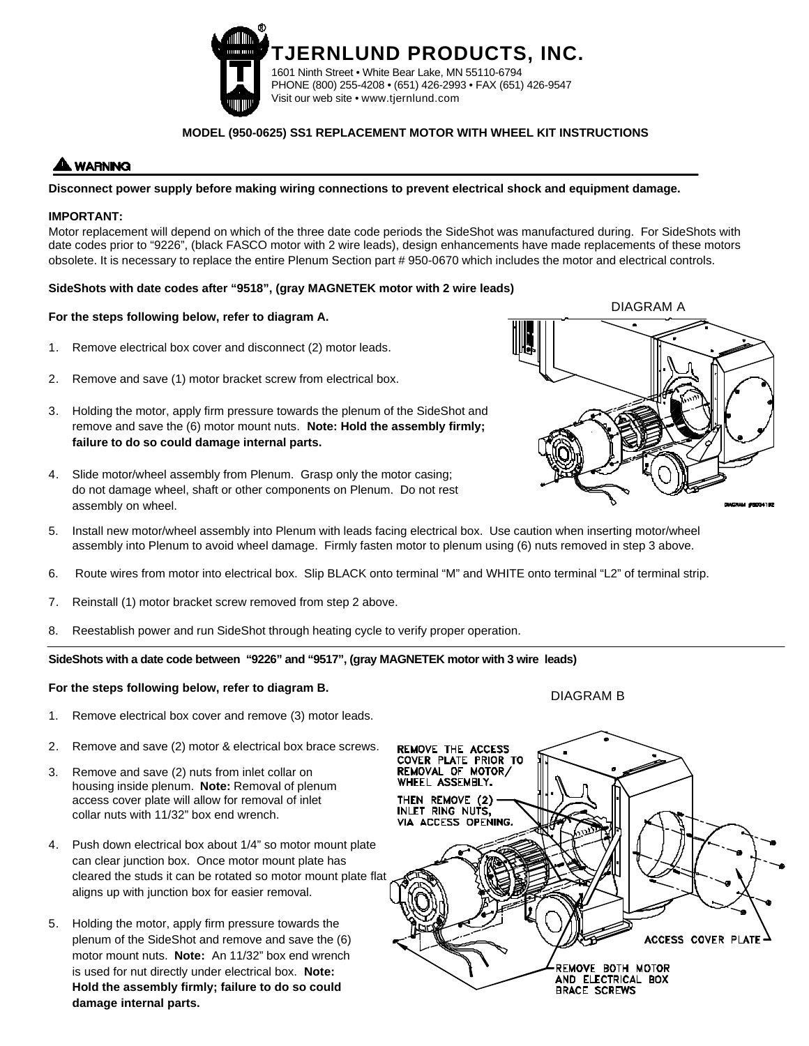

# **MODEL (950-0625) SS1 REPLACEMENT MOTOR WITH WHEEL KIT INSTRUCTIONS**

# **WARNING**

# **Disconnect power supply before making wiring connections to prevent electrical shock and equipment damage.**

# **IMPORTANT:**

Motor replacement will depend on which of the three date code periods the SideShot was manufactured during. For SideShots with date codes prior to "9226", (black FASCO motor with 2 wire leads), design enhancements have made replacements of these motors obsolete. It is necessary to replace the entire Plenum Section part # 950-0670 which includes the motor and electrical controls.

#### **SideShots with date codes after "9518", (gray MAGNETEK motor with 2 wire leads)**

#### **For the steps following below, refer to diagram A.**

- 1. Remove electrical box cover and disconnect (2) motor leads.
- 2. Remove and save (1) motor bracket screw from electrical box.
- 3. Holding the motor, apply firm pressure towards the plenum of the SideShot and remove and save the (6) motor mount nuts. **Note: Hold the assembly firmly; failure to do so could damage internal parts.**
- 4. Slide motor/wheel assembly from Plenum. Grasp only the motor casing; do not damage wheel, shaft or other components on Plenum. Do not rest assembly on wheel.
- 5. Install new motor/wheel assembly into Plenum with leads facing electrical box. Use caution when inserting motor/wheel assembly into Plenum to avoid wheel damage. Firmly fasten motor to plenum using (6) nuts removed in step 3 above.
- 6. Route wires from motor into electrical box. Slip BLACK onto terminal "M" and WHITE onto terminal "L2" of terminal strip.
- 7. Reinstall (1) motor bracket screw removed from step 2 above.
- 8. Reestablish power and run SideShot through heating cycle to verify proper operation.

# **SideShots with a date code between "9226" and "9517", (gray MAGNETEK motor with 3 wire leads)**

#### **For the steps following below, refer to diagram B.**

- 1. Remove electrical box cover and remove (3) motor leads.
- 2. Remove and save (2) motor & electrical box brace screws.
- 3. Remove and save (2) nuts from inlet collar on housing inside plenum. **Note:** Removal of plenum access cover plate will allow for removal of inlet collar nuts with 11/32" box end wrench.
- 4. Push down electrical box about 1/4" so motor mount plate can clear junction box. Once motor mount plate has cleared the studs it can be rotated so motor mount plate flat aligns up with junction box for easier removal.
- 5. Holding the motor, apply firm pressure towards the plenum of the SideShot and remove and save the (6) motor mount nuts. **Note:** An 11/32" box end wrench is used for nut directly under electrical box. **Note: Hold the assembly firmly; failure to do so could damage internal parts.**



DIAGRAM B